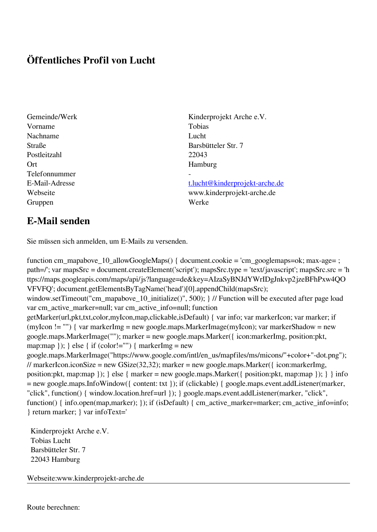## **Öffentliches Profil von Lucht**

- Vorname Tobias Nachname Lucht Postleitzahl 22043 Ort Hamburg Telefonnummer - Gruppen Werke
- Gemeinde/Werk Kinderprojekt Arche e.V. Straße Barsbütteler Str. 7

E-Mail-Adresse [t.lucht@kinderprojekt-arche.de](mailto:t.lucht@kinderprojekt-arche.de) Webseite www.kinderprojekt-arche.de

## **E-Mail senden**

Sie müssen sich anmelden, um E-Mails zu versenden.

function cm\_mapabove\_10\_allowGoogleMaps() { document.cookie = 'cm\_googlemaps=ok; max-age= ; path=/'; var mapsSrc = document.createElement('script'); mapsSrc.type = 'text/javascript'; mapsSrc.src = 'h ttps://maps.googleapis.com/maps/api/js?language=de&key=AIzaSyBNJdYWrIDgJnkvp2jzeBFhPxw4QO VFVFQ'; document.getElementsByTagName('head')[0].appendChild(mapsSrc); window.setTimeout("cm\_mapabove\_10\_initialize()", 500); } // Function will be executed after page load var cm\_active\_marker=null; var cm\_active\_info=null; function getMarker(url,pkt,txt,color,myIcon,map,clickable,isDefault) { var info; var markerIcon; var marker; if (myIcon != "") { var markerImg = new google.maps.MarkerImage(myIcon); var markerShadow = new google.maps.MarkerImage(""); marker = new google.maps.Marker({ icon:markerImg, position:pkt, map:map  $\}$ ;  $\}$  else  $\{$  if (color!="")  $\{$  markerImg = new google.maps.MarkerImage("https://www.google.com/intl/en\_us/mapfiles/ms/micons/"+color+"-dot.png"); // markerIcon.iconSize = new GSize(32,32); marker = new google.maps.Marker({ $i$ con:markerImg, position:pkt, map:map }); } else { marker = new google.maps.Marker({ position:pkt, map:map }); } } info = new google.maps.InfoWindow({ content: txt }); if (clickable) { google.maps.event.addListener(marker, "click", function() { window.location.href=url }); } google.maps.event.addListener(marker, "click", function() { info.open(map,marker); }); if (isDefault) { cm\_active\_marker=marker; cm\_active\_info=info; } return marker; } var infoText='

 Kinderprojekt Arche e.V. Tobias Lucht Barsbütteler Str. 7 22043 Hamburg

Webseite:www.kinderprojekt-arche.de